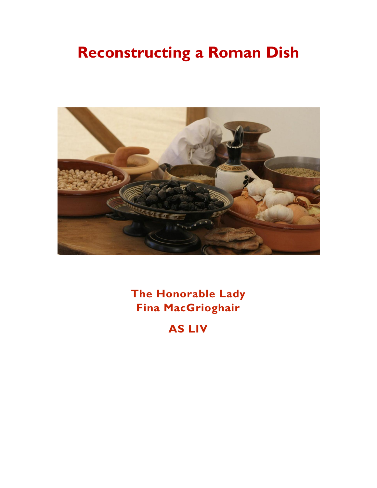# **Reconstructing a Roman Dish**



**The Honorable Lady Fina MacGrioghair**

**AS LIV**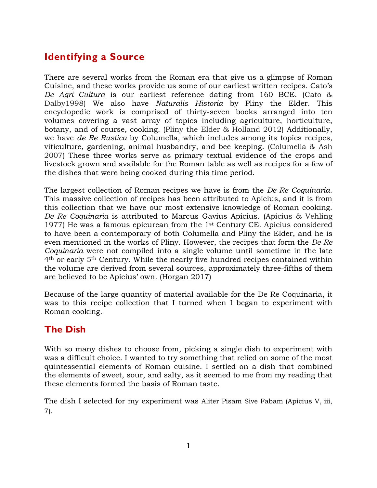# **Identifying a Source**

There are several works from the Roman era that give us a glimpse of Roman Cuisine, and these works provide us some of our earliest written recipes. Cato's *De Agri Cultura* is our earliest reference dating from 160 BCE. (Cato & Dalby1998) We also have *Naturalis Historia* by Pliny the Elder. This encyclopedic work is comprised of thirty-seven books arranged into ten volumes covering a vast array of topics including agriculture, horticulture, botany, and of course, cooking. (Pliny the Elder & Holland 2012) Additionally, we have *de Re Rustica* by Columella, which includes among its topics recipes, viticulture, gardening, animal husbandry, and bee keeping. (Columella & Ash 2007) These three works serve as primary textual evidence of the crops and livestock grown and available for the Roman table as well as recipes for a few of the dishes that were being cooked during this time period.

The largest collection of Roman recipes we have is from the *De Re Coquinaria*. This massive collection of recipes has been attributed to Apicius, and it is from this collection that we have our most extensive knowledge of Roman cooking. *De Re Coquinaria* is attributed to Marcus Gavius Apicius. (Apicius & Vehling 1977) He was a famous epicurean from the 1st Century CE. Apicius considered to have been a contemporary of both Columella and Pliny the Elder, and he is even mentioned in the works of Pliny. However, the recipes that form the *De Re Coquinaria* were not compiled into a single volume until sometime in the late 4th or early 5th Century. While the nearly five hundred recipes contained within the volume are derived from several sources, approximately three-fifths of them are believed to be Apicius' own. (Horgan 2017)

Because of the large quantity of material available for the De Re Coquinaria, it was to this recipe collection that I turned when I began to experiment with Roman cooking.

# **The Dish**

With so many dishes to choose from, picking a single dish to experiment with was a difficult choice. I wanted to try something that relied on some of the most quintessential elements of Roman cuisine. I settled on a dish that combined the elements of sweet, sour, and salty, as it seemed to me from my reading that these elements formed the basis of Roman taste.

The dish I selected for my experiment was Aliter Pisam Sive Fabam (Apicius V, iii, 7).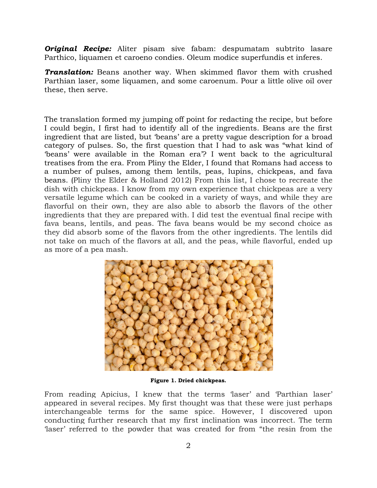*Original Recipe:* Aliter pisam sive fabam: despumatam subtrito lasare Parthico, liquamen et caroeno condies. Oleum modice superfundis et inferes.

*Translation:* Beans another way. When skimmed flavor them with crushed Parthian laser, some liquamen, and some caroenum. Pour a little olive oil over these, then serve.

The translation formed my jumping off point for redacting the recipe, but before I could begin, I first had to identify all of the ingredients. Beans are the first ingredient that are listed, but 'beans' are a pretty vague description for a broad category of pulses. So, the first question that I had to ask was "what kind of 'beans' were available in the Roman era'? I went back to the agricultural treatises from the era. From Pliny the Elder, I found that Romans had access to a number of pulses, among them lentils, peas, lupins, chickpeas, and fava beans. (Pliny the Elder & Holland 2012) From this list, I chose to recreate the dish with chickpeas. I know from my own experience that chickpeas are a very versatile legume which can be cooked in a variety of ways, and while they are flavorful on their own, they are also able to absorb the flavors of the other ingredients that they are prepared with. I did test the eventual final recipe with fava beans, lentils, and peas. The fava beans would be my second choice as they did absorb some of the flavors from the other ingredients. The lentils did not take on much of the flavors at all, and the peas, while flavorful, ended up as more of a pea mash.



**Figure 1. Dried chickpeas.**

From reading Apicius, I knew that the terms 'laser' and 'Parthian laser' appeared in several recipes. My first thought was that these were just perhaps interchangeable terms for the same spice. However, I discovered upon conducting further research that my first inclination was incorrect. The term 'laser' referred to the powder that was created for from "the resin from the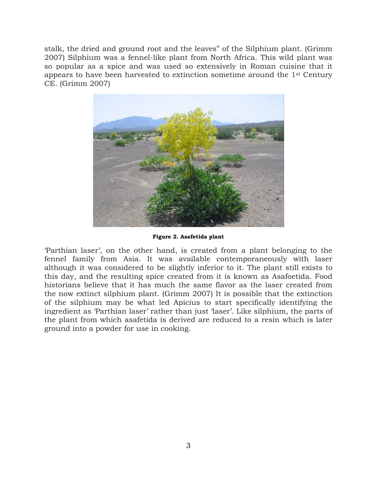stalk, the dried and ground root and the leaves" of the Silphium plant. (Grimm 2007) Silphium was a fennel-like plant from North Africa. This wild plant was so popular as a spice and was used so extensively in Roman cuisine that it appears to have been harvested to extinction sometime around the 1st Century CE. (Grimm 2007)



**Figure 2. Asafetida plant**

'Parthian laser', on the other hand, is created from a plant belonging to the fennel family from Asia. It was available contemporaneously with laser although it was considered to be slightly inferior to it. The plant still exists to this day, and the resulting spice created from it is known as Asafoetida. Food historians believe that it has much the same flavor as the laser created from the now extinct silphium plant. (Grimm 2007) It is possible that the extinction of the silphium may be what led Apicius to start specifically identifying the ingredient as 'Parthian laser' rather than just 'laser'. Like silphium, the parts of the plant from which asafetida is derived are reduced to a resin which is later ground into a powder for use in cooking.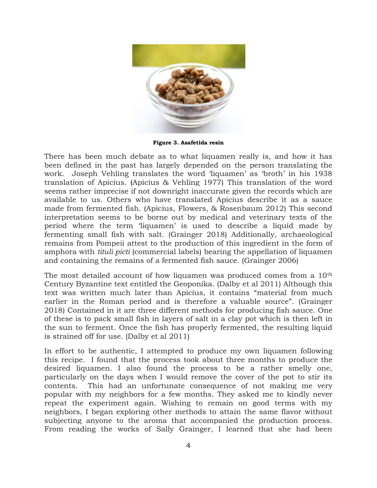

**Figure 3. Asafetida resin**

There has been much debate as to what liquamen really is, and how it has been defined in the past has largely depended on the person translating the work. Joseph Vehling translates the word 'liquamen' as 'broth' in his 1938 translation of Apicius. (Apicius & Vehling 1977) This translation of the word seems rather imprecise if not downright inaccurate given the records which are available to us. Others who have translated Apicius describe it as a sauce made from fermented fish. (Apicius, Flowers, & Rosenbaum 2012) This second interpretation seems to be borne out by medical and veterinary texts of the period where the term 'liquamen' is used to describe a liquid made by fermenting small fish with salt. (Grainger 2018) Additionally, archaeological remains from Pompeii attest to the production of this ingredient in the form of amphora with *tituli picti* (commercial labels) bearing the appellation of liquamen and containing the remains of a fermented fish sauce. (Grainger 2006)

The most detailed account of how liquamen was produced comes from a 10th Century Byzantine text entitled the Geoponika. (Dalby et al 2011) Although this text was written much later than Apicius, it contains "material from much earlier in the Roman period and is therefore a valuable source". (Grainger 2018) Contained in it are three different methods for producing fish sauce. One of these is to pack small fish in layers of salt in a clay pot which is then left in the sun to ferment. Once the fish has properly fermented, the resulting liquid is strained off for use. (Dalby et al 2011)

In effort to be authentic, I attempted to produce my own liquamen following this recipe. I found that the process took about three months to produce the desired liquamen. I also found the process to be a rather smelly one, particularly on the days when I would remove the cover of the pot to stir its contents. This had an unfortunate consequence of not making me very popular with my neighbors for a few months. They asked me to kindly never repeat the experiment again. Wishing to remain on good terms with my neighbors, I began exploring other methods to attain the same flavor without subjecting anyone to the aroma that accompanied the production process. From reading the works of Sally Grainger, I learned that she had been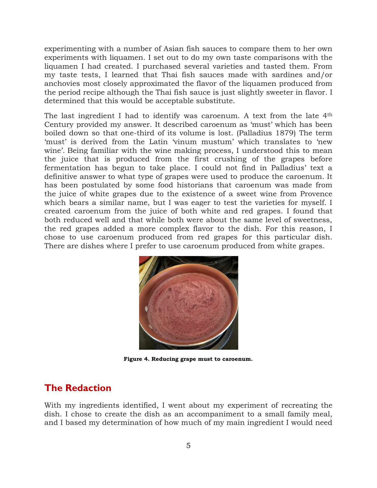experimenting with a number of Asian fish sauces to compare them to her own experiments with liquamen. I set out to do my own taste comparisons with the liquamen I had created. I purchased several varieties and tasted them. From my taste tests, I learned that Thai fish sauces made with sardines and/or anchovies most closely approximated the flavor of the liquamen produced from the period recipe although the Thai fish sauce is just slightly sweeter in flavor. I determined that this would be acceptable substitute.

The last ingredient I had to identify was caroenum. A text from the late 4<sup>th</sup> Century provided my answer. It described caroenum as 'must' which has been boiled down so that one-third of its volume is lost. (Palladius 1879) The term 'must' is derived from the Latin 'vinum mustum' which translates to 'new wine'. Being familiar with the wine making process, I understood this to mean the juice that is produced from the first crushing of the grapes before fermentation has begun to take place. I could not find in Palladius' text a definitive answer to what type of grapes were used to produce the caroenum. It has been postulated by some food historians that caroenum was made from the juice of white grapes due to the existence of a sweet wine from Provence which bears a similar name, but I was eager to test the varieties for myself. I created caroenum from the juice of both white and red grapes. I found that both reduced well and that while both were about the same level of sweetness, the red grapes added a more complex flavor to the dish. For this reason, I chose to use caroenum produced from red grapes for this particular dish. There are dishes where I prefer to use caroenum produced from white grapes.



**Figure 4. Reducing grape must to caroenum.**

### **The Redaction**

With my ingredients identified, I went about my experiment of recreating the dish. I chose to create the dish as an accompaniment to a small family meal, and I based my determination of how much of my main ingredient I would need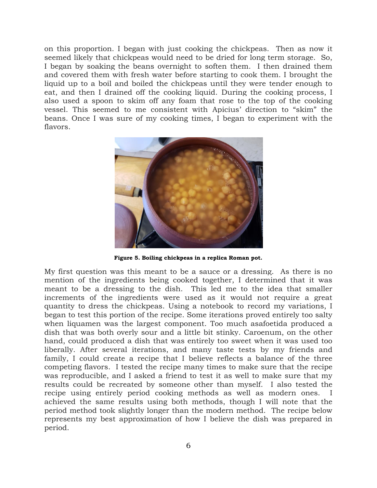on this proportion. I began with just cooking the chickpeas. Then as now it seemed likely that chickpeas would need to be dried for long term storage. So, I began by soaking the beans overnight to soften them. I then drained them and covered them with fresh water before starting to cook them. I brought the liquid up to a boil and boiled the chickpeas until they were tender enough to eat, and then I drained off the cooking liquid. During the cooking process, I also used a spoon to skim off any foam that rose to the top of the cooking vessel. This seemed to me consistent with Apicius' direction to "skim" the beans. Once I was sure of my cooking times, I began to experiment with the flavors.



**Figure 5. Boiling chickpeas in a replica Roman pot.**

My first question was this meant to be a sauce or a dressing. As there is no mention of the ingredients being cooked together, I determined that it was meant to be a dressing to the dish. This led me to the idea that smaller increments of the ingredients were used as it would not require a great quantity to dress the chickpeas. Using a notebook to record my variations, I began to test this portion of the recipe. Some iterations proved entirely too salty when liquamen was the largest component. Too much asafoetida produced a dish that was both overly sour and a little bit stinky. Caroenum, on the other hand, could produced a dish that was entirely too sweet when it was used too liberally. After several iterations, and many taste tests by my friends and family, I could create a recipe that I believe reflects a balance of the three competing flavors. I tested the recipe many times to make sure that the recipe was reproducible, and I asked a friend to test it as well to make sure that my results could be recreated by someone other than myself. I also tested the recipe using entirely period cooking methods as well as modern ones. I achieved the same results using both methods, though I will note that the period method took slightly longer than the modern method. The recipe below represents my best approximation of how I believe the dish was prepared in period.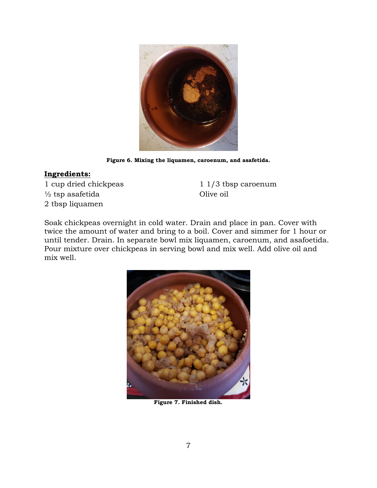

**Figure 6. Mixing the liquamen, caroenum, and asafetida.**

#### **Ingredients:**

1 cup dried chickpeas ½ tsp asafetida 2 tbsp liquamen

1 1/3 tbsp caroenum Olive oil

Soak chickpeas overnight in cold water. Drain and place in pan. Cover with twice the amount of water and bring to a boil. Cover and simmer for 1 hour or until tender. Drain. In separate bowl mix liquamen, caroenum, and asafoetida. Pour mixture over chickpeas in serving bowl and mix well. Add olive oil and mix well.



**Figure 7. Finished dish.**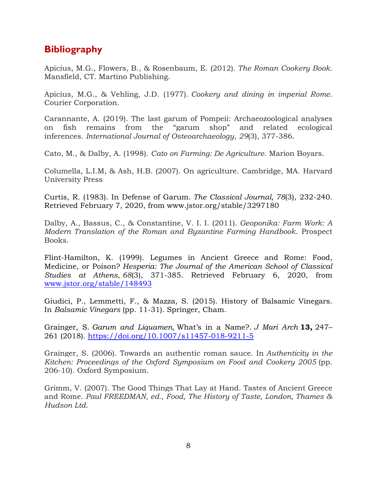## **Bibliography**

Apicius, M.G., Flowers, B., & Rosenbaum, E. (2012). *The Roman Cookery Book*. Mansfield, CT. Martino Publishing.

Apicius, M.G., & Vehling, J.D. (1977). *Cookery and dining in imperial Rome*. Courier Corporation.

Carannante, A. (2019). The last garum of Pompeii: Archaeozoological analyses on fish remains from the "garum shop" and related ecological inferences. *International Journal of Osteoarchaeology*, *29*(3), 377-386.

Cato, M., & Dalby, A. (1998). *Cato on Farming: De Agriculture*. Marion Boyars.

Columella, L.I.M, & Ash, H.B. (2007). On agriculture. Cambridge, MA. Harvard University Press

Curtis, R. (1983). In Defense of Garum. *The Classical Journal, 78*(3), 232-240. Retrieved February 7, 2020, from www.jstor.org/stable/3297180

Dalby, A., Bassus, C., & Constantine, V. I. I. (2011). *Geoponika: Farm Work: A Modern Translation of the Roman and Byzantine Farming Handbook*. Prospect Books.

Flint-Hamilton, K. (1999). Legumes in Ancient Greece and Rome: Food, Medicine, or Poison? *Hesperia: The Journal of the American School of Classical Studies at Athens, 68*(3), 371-385. Retrieved February 6, 2020, from [www.jstor.org/stable/148493](http://www.jstor.org/stable/148493)

Giudici, P., Lemmetti, F., & Mazza, S. (2015). History of Balsamic Vinegars. In *Balsamic Vinegars* (pp. 11-31). Springer, Cham.

Grainger, S. *Garum and Liquamen,* What's in a Name?. *J Mari Arch* **13,** 247– 261 (2018).<https://doi.org/10.1007/s11457-018-9211-5>

Grainger, S. (2006). Towards an authentic roman sauce. In *Authenticity in the Kitchen: Proceedings of the Oxford Symposium on Food and Cookery 2005* (pp. 206-10). Oxford Symposium.

Grimm, V. (2007). The Good Things That Lay at Hand. Tastes of Ancient Greece and Rome. *Paul FREEDMAN, ed., Food, The History of Taste, London, Thames & Hudson Ltd*.